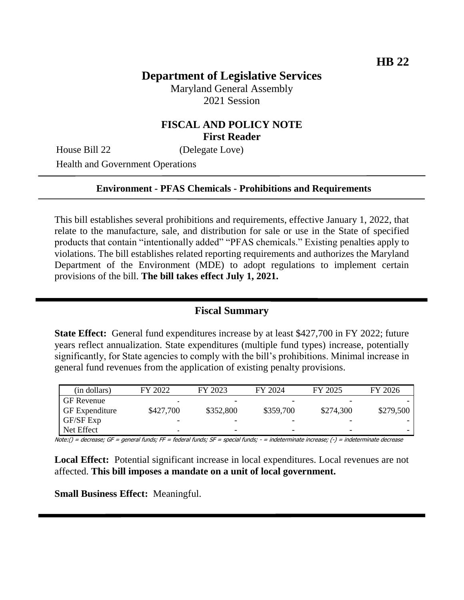# **Department of Legislative Services**

Maryland General Assembly 2021 Session

### **FISCAL AND POLICY NOTE First Reader**

House Bill 22 (Delegate Love)

Health and Government Operations

#### **Environment - PFAS Chemicals - Prohibitions and Requirements**

This bill establishes several prohibitions and requirements, effective January 1, 2022, that relate to the manufacture, sale, and distribution for sale or use in the State of specified products that contain "intentionally added" "PFAS chemicals." Existing penalties apply to violations. The bill establishes related reporting requirements and authorizes the Maryland Department of the Environment (MDE) to adopt regulations to implement certain provisions of the bill. **The bill takes effect July 1, 2021.** 

## **Fiscal Summary**

**State Effect:** General fund expenditures increase by at least \$427,700 in FY 2022; future years reflect annualization. State expenditures (multiple fund types) increase, potentially significantly, for State agencies to comply with the bill's prohibitions. Minimal increase in general fund revenues from the application of existing penalty provisions.

| (in dollars)          | FY 2022   | FY 2023                  | FY 2024                  | FY 2025   | FY 2026   |
|-----------------------|-----------|--------------------------|--------------------------|-----------|-----------|
| <b>GF</b> Revenue     | -         |                          |                          |           |           |
| <b>GF</b> Expenditure | \$427,700 | \$352,800                | \$359,700                | \$274,300 | \$279,500 |
| GF/SF Exp             |           |                          |                          |           |           |
| Net Effect            | -         | $\overline{\phantom{0}}$ | $\overline{\phantom{0}}$ | -         |           |

Note:() = decrease; GF = general funds; FF = federal funds; SF = special funds; - = indeterminate increase; (-) = indeterminate decrease

**Local Effect:** Potential significant increase in local expenditures. Local revenues are not affected. **This bill imposes a mandate on a unit of local government.**

**Small Business Effect:** Meaningful.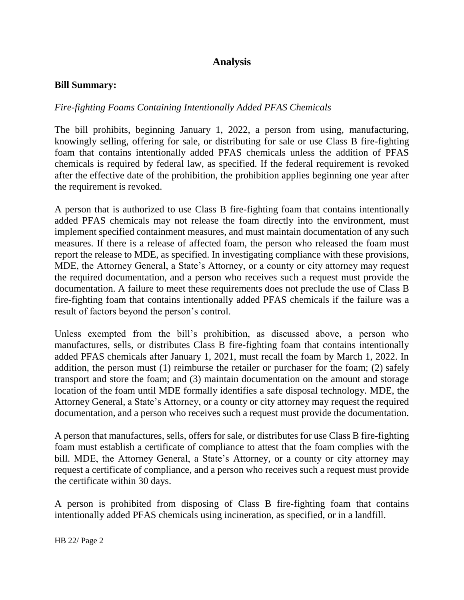# **Analysis**

#### **Bill Summary:**

#### *Fire-fighting Foams Containing Intentionally Added PFAS Chemicals*

The bill prohibits, beginning January 1, 2022, a person from using, manufacturing, knowingly selling, offering for sale, or distributing for sale or use Class B fire-fighting foam that contains intentionally added PFAS chemicals unless the addition of PFAS chemicals is required by federal law, as specified. If the federal requirement is revoked after the effective date of the prohibition, the prohibition applies beginning one year after the requirement is revoked.

A person that is authorized to use Class B fire-fighting foam that contains intentionally added PFAS chemicals may not release the foam directly into the environment, must implement specified containment measures, and must maintain documentation of any such measures. If there is a release of affected foam, the person who released the foam must report the release to MDE, as specified. In investigating compliance with these provisions, MDE, the Attorney General, a State's Attorney, or a county or city attorney may request the required documentation, and a person who receives such a request must provide the documentation. A failure to meet these requirements does not preclude the use of Class B fire-fighting foam that contains intentionally added PFAS chemicals if the failure was a result of factors beyond the person's control.

Unless exempted from the bill's prohibition, as discussed above, a person who manufactures, sells, or distributes Class B fire-fighting foam that contains intentionally added PFAS chemicals after January 1, 2021, must recall the foam by March 1, 2022. In addition, the person must (1) reimburse the retailer or purchaser for the foam; (2) safely transport and store the foam; and (3) maintain documentation on the amount and storage location of the foam until MDE formally identifies a safe disposal technology. MDE, the Attorney General, a State's Attorney, or a county or city attorney may request the required documentation, and a person who receives such a request must provide the documentation.

A person that manufactures, sells, offers for sale, or distributes for use Class B fire-fighting foam must establish a certificate of compliance to attest that the foam complies with the bill. MDE, the Attorney General, a State's Attorney, or a county or city attorney may request a certificate of compliance, and a person who receives such a request must provide the certificate within 30 days.

A person is prohibited from disposing of Class B fire-fighting foam that contains intentionally added PFAS chemicals using incineration, as specified, or in a landfill.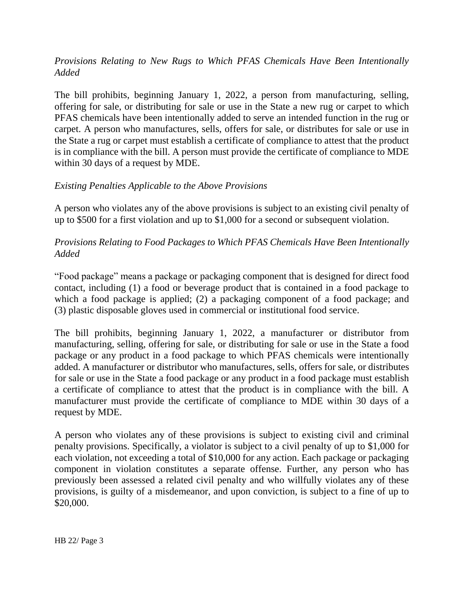## *Provisions Relating to New Rugs to Which PFAS Chemicals Have Been Intentionally Added*

The bill prohibits, beginning January 1, 2022, a person from manufacturing, selling, offering for sale, or distributing for sale or use in the State a new rug or carpet to which PFAS chemicals have been intentionally added to serve an intended function in the rug or carpet. A person who manufactures, sells, offers for sale, or distributes for sale or use in the State a rug or carpet must establish a certificate of compliance to attest that the product is in compliance with the bill. A person must provide the certificate of compliance to MDE within 30 days of a request by MDE.

### *Existing Penalties Applicable to the Above Provisions*

A person who violates any of the above provisions is subject to an existing civil penalty of up to \$500 for a first violation and up to \$1,000 for a second or subsequent violation.

### *Provisions Relating to Food Packages to Which PFAS Chemicals Have Been Intentionally Added*

"Food package" means a package or packaging component that is designed for direct food contact, including (1) a food or beverage product that is contained in a food package to which a food package is applied; (2) a packaging component of a food package; and (3) plastic disposable gloves used in commercial or institutional food service.

The bill prohibits, beginning January 1, 2022, a manufacturer or distributor from manufacturing, selling, offering for sale, or distributing for sale or use in the State a food package or any product in a food package to which PFAS chemicals were intentionally added. A manufacturer or distributor who manufactures, sells, offers for sale, or distributes for sale or use in the State a food package or any product in a food package must establish a certificate of compliance to attest that the product is in compliance with the bill. A manufacturer must provide the certificate of compliance to MDE within 30 days of a request by MDE.

A person who violates any of these provisions is subject to existing civil and criminal penalty provisions. Specifically, a violator is subject to a civil penalty of up to \$1,000 for each violation, not exceeding a total of \$10,000 for any action. Each package or packaging component in violation constitutes a separate offense. Further, any person who has previously been assessed a related civil penalty and who willfully violates any of these provisions, is guilty of a misdemeanor, and upon conviction, is subject to a fine of up to \$20,000.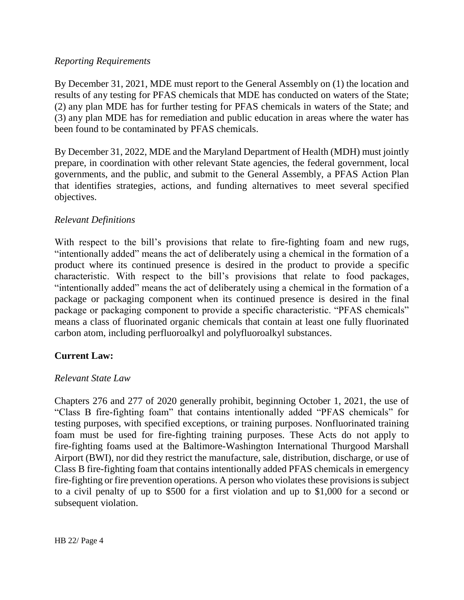#### *Reporting Requirements*

By December 31, 2021, MDE must report to the General Assembly on (1) the location and results of any testing for PFAS chemicals that MDE has conducted on waters of the State; (2) any plan MDE has for further testing for PFAS chemicals in waters of the State; and (3) any plan MDE has for remediation and public education in areas where the water has been found to be contaminated by PFAS chemicals.

By December 31, 2022, MDE and the Maryland Department of Health (MDH) must jointly prepare, in coordination with other relevant State agencies, the federal government, local governments, and the public, and submit to the General Assembly, a PFAS Action Plan that identifies strategies, actions, and funding alternatives to meet several specified objectives.

### *Relevant Definitions*

With respect to the bill's provisions that relate to fire-fighting foam and new rugs, "intentionally added" means the act of deliberately using a chemical in the formation of a product where its continued presence is desired in the product to provide a specific characteristic. With respect to the bill's provisions that relate to food packages, "intentionally added" means the act of deliberately using a chemical in the formation of a package or packaging component when its continued presence is desired in the final package or packaging component to provide a specific characteristic. "PFAS chemicals" means a class of fluorinated organic chemicals that contain at least one fully fluorinated carbon atom, including perfluoroalkyl and polyfluoroalkyl substances.

### **Current Law:**

#### *Relevant State Law*

Chapters 276 and 277 of 2020 generally prohibit, beginning October 1, 2021, the use of "Class B fire-fighting foam" that contains intentionally added "PFAS chemicals" for testing purposes, with specified exceptions, or training purposes. Nonfluorinated training foam must be used for fire-fighting training purposes. These Acts do not apply to fire-fighting foams used at the Baltimore-Washington International Thurgood Marshall Airport (BWI), nor did they restrict the manufacture, sale, distribution, discharge, or use of Class B fire-fighting foam that contains intentionally added PFAS chemicals in emergency fire-fighting or fire prevention operations. A person who violates these provisions is subject to a civil penalty of up to \$500 for a first violation and up to \$1,000 for a second or subsequent violation.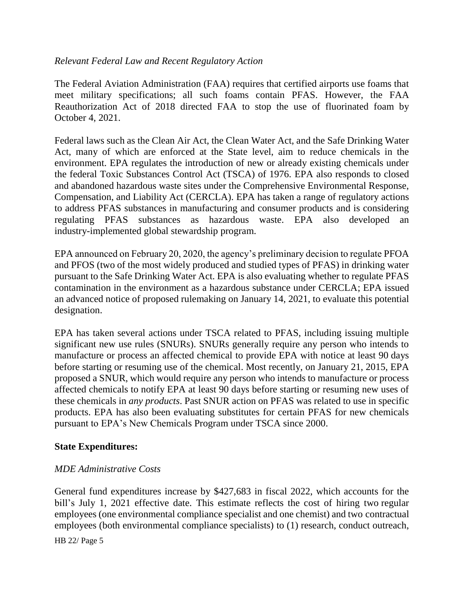### *Relevant Federal Law and Recent Regulatory Action*

The Federal Aviation Administration (FAA) requires that certified airports use foams that meet military specifications; all such foams contain PFAS. However, the FAA Reauthorization Act of 2018 directed FAA to stop the use of fluorinated foam by October 4, 2021.

Federal laws such as the Clean Air Act, the Clean Water Act, and the Safe Drinking Water Act, many of which are enforced at the State level, aim to reduce chemicals in the environment. EPA regulates the introduction of new or already existing chemicals under the federal Toxic Substances Control Act (TSCA) of 1976. EPA also responds to closed and abandoned hazardous waste sites under the Comprehensive Environmental Response, Compensation, and Liability Act (CERCLA). EPA has taken a range of regulatory actions to address PFAS substances in manufacturing and consumer products and is considering regulating PFAS substances as hazardous waste. EPA also developed an industry-implemented global stewardship program.

EPA announced on February 20, 2020, the agency's preliminary decision to regulate PFOA and PFOS (two of the most widely produced and studied types of PFAS) in drinking water pursuant to the Safe Drinking Water Act. EPA is also evaluating whether to regulate PFAS contamination in the environment as a hazardous substance under CERCLA; EPA issued an advanced notice of proposed rulemaking on January 14, 2021, to evaluate this potential designation.

EPA has taken several actions under TSCA related to PFAS, including issuing multiple significant new use rules (SNURs). SNURs generally require any person who intends to manufacture or process an affected chemical to provide EPA with notice at least 90 days before starting or resuming use of the chemical. Most recently, on January 21, 2015, EPA proposed a SNUR, which would require any person who intends to manufacture or process affected chemicals to notify EPA at least 90 days before starting or resuming new uses of these chemicals in *any products*. Past SNUR action on PFAS was related to use in specific products. EPA has also been evaluating substitutes for certain PFAS for new chemicals pursuant to EPA's New Chemicals Program under TSCA since 2000.

#### **State Expenditures:**

### *MDE Administrative Costs*

General fund expenditures increase by \$427,683 in fiscal 2022, which accounts for the bill's July 1, 2021 effective date. This estimate reflects the cost of hiring two regular employees (one environmental compliance specialist and one chemist) and two contractual employees (both environmental compliance specialists) to (1) research, conduct outreach,

HB 22/ Page 5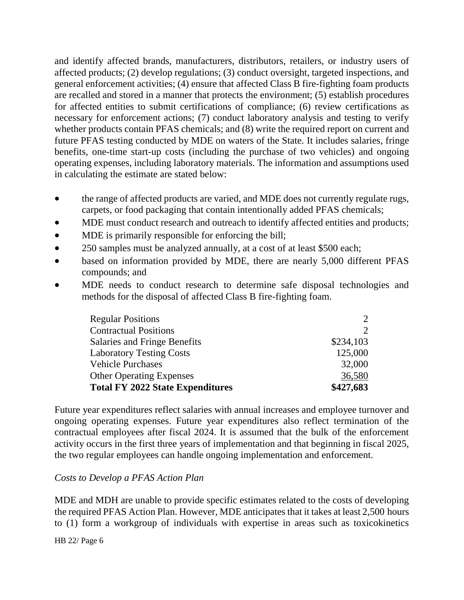and identify affected brands, manufacturers, distributors, retailers, or industry users of affected products; (2) develop regulations; (3) conduct oversight, targeted inspections, and general enforcement activities; (4) ensure that affected Class B fire-fighting foam products are recalled and stored in a manner that protects the environment; (5) establish procedures for affected entities to submit certifications of compliance; (6) review certifications as necessary for enforcement actions; (7) conduct laboratory analysis and testing to verify whether products contain PFAS chemicals; and  $(8)$  write the required report on current and future PFAS testing conducted by MDE on waters of the State. It includes salaries, fringe benefits, one-time start-up costs (including the purchase of two vehicles) and ongoing operating expenses, including laboratory materials. The information and assumptions used in calculating the estimate are stated below:

- the range of affected products are varied, and MDE does not currently regulate rugs, carpets, or food packaging that contain intentionally added PFAS chemicals;
- MDE must conduct research and outreach to identify affected entities and products;
- MDE is primarily responsible for enforcing the bill;
- 250 samples must be analyzed annually, at a cost of at least \$500 each;
- based on information provided by MDE, there are nearly 5,000 different PFAS compounds; and
- MDE needs to conduct research to determine safe disposal technologies and methods for the disposal of affected Class B fire-fighting foam.

| <b>Regular Positions</b>                | $\mathcal{D}_{\mathcal{L}}$ |
|-----------------------------------------|-----------------------------|
| <b>Contractual Positions</b>            | $\mathcal{D}_{\mathcal{L}}$ |
| Salaries and Fringe Benefits            | \$234,103                   |
| <b>Laboratory Testing Costs</b>         | 125,000                     |
| <b>Vehicle Purchases</b>                | 32,000                      |
| <b>Other Operating Expenses</b>         | 36,580                      |
| <b>Total FY 2022 State Expenditures</b> | \$427,683                   |

Future year expenditures reflect salaries with annual increases and employee turnover and ongoing operating expenses. Future year expenditures also reflect termination of the contractual employees after fiscal 2024. It is assumed that the bulk of the enforcement activity occurs in the first three years of implementation and that beginning in fiscal 2025, the two regular employees can handle ongoing implementation and enforcement.

### *Costs to Develop a PFAS Action Plan*

MDE and MDH are unable to provide specific estimates related to the costs of developing the required PFAS Action Plan. However, MDE anticipates that it takes at least 2,500 hours to (1) form a workgroup of individuals with expertise in areas such as toxicokinetics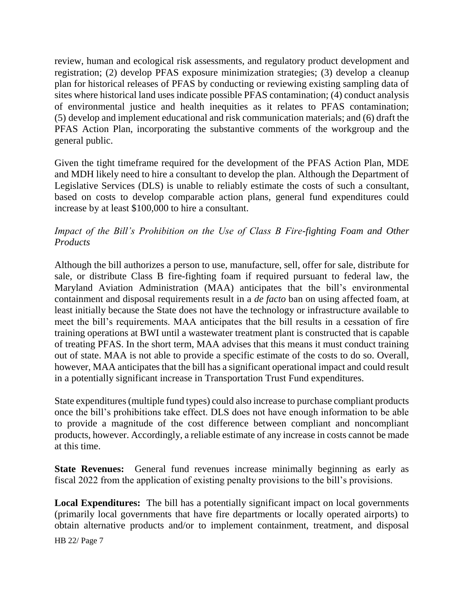review, human and ecological risk assessments, and regulatory product development and registration; (2) develop PFAS exposure minimization strategies; (3) develop a cleanup plan for historical releases of PFAS by conducting or reviewing existing sampling data of sites where historical land uses indicate possible PFAS contamination; (4) conduct analysis of environmental justice and health inequities as it relates to PFAS contamination; (5) develop and implement educational and risk communication materials; and (6) draft the PFAS Action Plan, incorporating the substantive comments of the workgroup and the general public.

Given the tight timeframe required for the development of the PFAS Action Plan, MDE and MDH likely need to hire a consultant to develop the plan. Although the Department of Legislative Services (DLS) is unable to reliably estimate the costs of such a consultant, based on costs to develop comparable action plans, general fund expenditures could increase by at least \$100,000 to hire a consultant.

## *Impact of the Bill's Prohibition on the Use of Class B Fire-fighting Foam and Other Products*

Although the bill authorizes a person to use, manufacture, sell, offer for sale, distribute for sale, or distribute Class B fire-fighting foam if required pursuant to federal law, the Maryland Aviation Administration (MAA) anticipates that the bill's environmental containment and disposal requirements result in a *de facto* ban on using affected foam, at least initially because the State does not have the technology or infrastructure available to meet the bill's requirements. MAA anticipates that the bill results in a cessation of fire training operations at BWI until a wastewater treatment plant is constructed that is capable of treating PFAS. In the short term, MAA advises that this means it must conduct training out of state. MAA is not able to provide a specific estimate of the costs to do so. Overall, however, MAA anticipates that the bill has a significant operational impact and could result in a potentially significant increase in Transportation Trust Fund expenditures.

State expenditures (multiple fund types) could also increase to purchase compliant products once the bill's prohibitions take effect. DLS does not have enough information to be able to provide a magnitude of the cost difference between compliant and noncompliant products, however. Accordingly, a reliable estimate of any increase in costs cannot be made at this time.

**State Revenues:** General fund revenues increase minimally beginning as early as fiscal 2022 from the application of existing penalty provisions to the bill's provisions.

**Local Expenditures:** The bill has a potentially significant impact on local governments (primarily local governments that have fire departments or locally operated airports) to obtain alternative products and/or to implement containment, treatment, and disposal

HB 22/ Page 7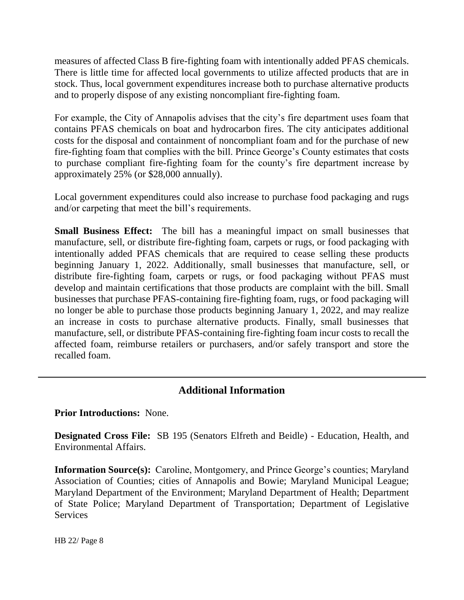measures of affected Class B fire-fighting foam with intentionally added PFAS chemicals. There is little time for affected local governments to utilize affected products that are in stock. Thus, local government expenditures increase both to purchase alternative products and to properly dispose of any existing noncompliant fire-fighting foam.

For example, the City of Annapolis advises that the city's fire department uses foam that contains PFAS chemicals on boat and hydrocarbon fires. The city anticipates additional costs for the disposal and containment of noncompliant foam and for the purchase of new fire-fighting foam that complies with the bill. Prince George's County estimates that costs to purchase compliant fire-fighting foam for the county's fire department increase by approximately 25% (or \$28,000 annually).

Local government expenditures could also increase to purchase food packaging and rugs and/or carpeting that meet the bill's requirements.

**Small Business Effect:** The bill has a meaningful impact on small businesses that manufacture, sell, or distribute fire-fighting foam, carpets or rugs, or food packaging with intentionally added PFAS chemicals that are required to cease selling these products beginning January 1, 2022. Additionally, small businesses that manufacture, sell, or distribute fire-fighting foam, carpets or rugs, or food packaging without PFAS must develop and maintain certifications that those products are complaint with the bill. Small businesses that purchase PFAS-containing fire-fighting foam, rugs, or food packaging will no longer be able to purchase those products beginning January 1, 2022, and may realize an increase in costs to purchase alternative products. Finally, small businesses that manufacture, sell, or distribute PFAS-containing fire-fighting foam incur costs to recall the affected foam, reimburse retailers or purchasers, and/or safely transport and store the recalled foam.

## **Additional Information**

**Prior Introductions:** None.

**Designated Cross File:** SB 195 (Senators Elfreth and Beidle) - Education, Health, and Environmental Affairs.

**Information Source(s):** Caroline, Montgomery, and Prince George's counties; Maryland Association of Counties; cities of Annapolis and Bowie; Maryland Municipal League; Maryland Department of the Environment; Maryland Department of Health; Department of State Police; Maryland Department of Transportation; Department of Legislative Services